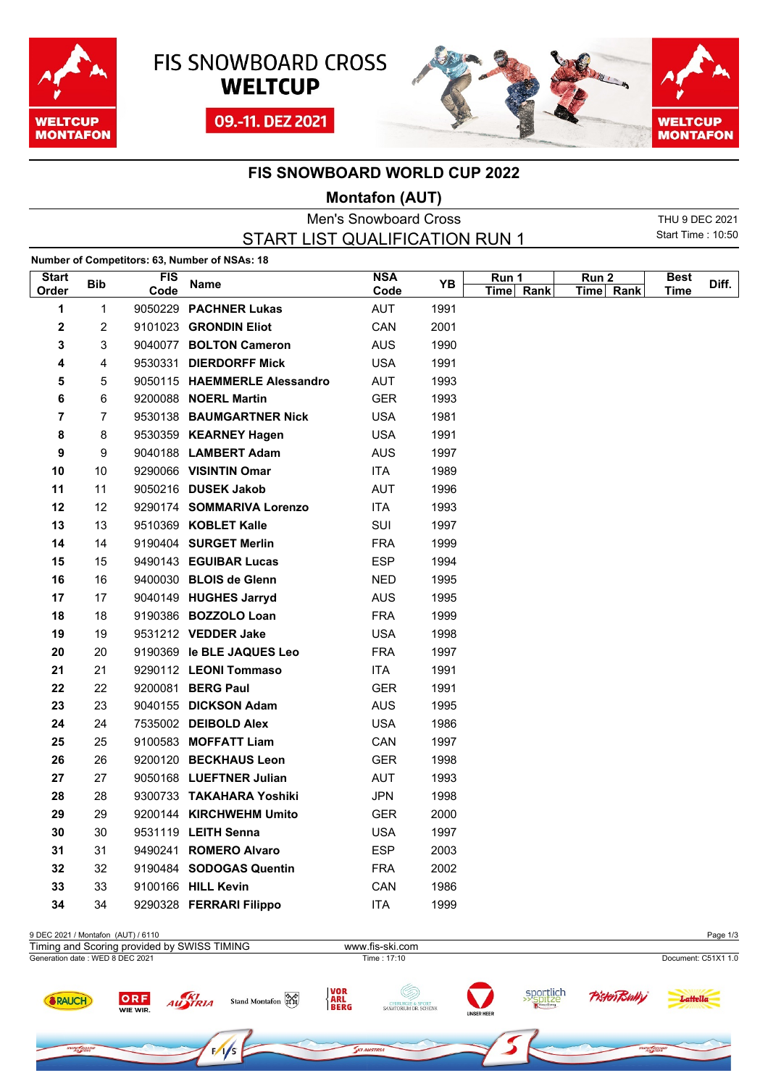





## **FIS SNOWBOARD WORLD CUP 2022**

## **Montafon (AUT)**

|                       |            |                    |                                               | <b>Men's Snowboard Cross</b> |      |                    |                    | THU 9 DEC 2021           |       |
|-----------------------|------------|--------------------|-----------------------------------------------|------------------------------|------|--------------------|--------------------|--------------------------|-------|
|                       |            |                    | START LIST QUALIFICATION RUN 1                |                              |      |                    |                    | <b>Start Time: 10:50</b> |       |
|                       |            |                    | Number of Competitors: 63, Number of NSAs: 18 |                              |      |                    |                    |                          |       |
| <b>Start</b><br>Order | <b>Bib</b> | <b>FIS</b><br>Code | Name                                          | <b>NSA</b><br>Code           | YΒ   | Run 1<br>Time Rank | Run 2<br>Time Rank | <b>Best</b><br>Time      | Diff. |
| 1                     | 1          |                    | 9050229 PACHNER Lukas                         | <b>AUT</b>                   | 1991 |                    |                    |                          |       |
| 2                     | 2          |                    | 9101023 GRONDIN Eliot                         | CAN                          | 2001 |                    |                    |                          |       |
| 3                     | 3          |                    | 9040077 BOLTON Cameron                        | <b>AUS</b>                   | 1990 |                    |                    |                          |       |
| 4                     | 4          |                    | 9530331 DIERDORFF Mick                        | <b>USA</b>                   | 1991 |                    |                    |                          |       |
| 5                     | 5          |                    | 9050115 HAEMMERLE Alessandro                  | <b>AUT</b>                   | 1993 |                    |                    |                          |       |
| 6                     | 6          |                    | 9200088 <b>NOERL Martin</b>                   | <b>GER</b>                   | 1993 |                    |                    |                          |       |
| 7                     | 7          |                    | 9530138 BAUMGARTNER Nick                      | <b>USA</b>                   | 1981 |                    |                    |                          |       |
| 8                     | 8          |                    | 9530359 KEARNEY Hagen                         | <b>USA</b>                   | 1991 |                    |                    |                          |       |
| 9                     | 9          |                    | 9040188 LAMBERT Adam                          | <b>AUS</b>                   | 1997 |                    |                    |                          |       |
| 10                    | 10         |                    | 9290066 VISINTIN Omar                         | ITA                          | 1989 |                    |                    |                          |       |
| 11                    | 11         |                    | 9050216 DUSEK Jakob                           | AUT                          | 1996 |                    |                    |                          |       |
| 12                    | 12         |                    | 9290174 SOMMARIVA Lorenzo                     | ITA                          | 1993 |                    |                    |                          |       |
| 13                    | 13         |                    | 9510369 KOBLET Kalle                          | SUI                          | 1997 |                    |                    |                          |       |
| 14                    | 14         |                    | 9190404 SURGET Merlin                         | <b>FRA</b>                   | 1999 |                    |                    |                          |       |
| 15                    | 15         |                    | 9490143 EGUIBAR Lucas                         | <b>ESP</b>                   | 1994 |                    |                    |                          |       |
| 16                    | 16         |                    | 9400030 BLOIS de Glenn                        | <b>NED</b>                   | 1995 |                    |                    |                          |       |
| 17                    | 17         |                    | 9040149 HUGHES Jarryd                         | <b>AUS</b>                   | 1995 |                    |                    |                          |       |
| 18                    | 18         |                    | 9190386 BOZZOLO Loan                          | <b>FRA</b>                   | 1999 |                    |                    |                          |       |
| 19                    | 19         |                    | 9531212 VEDDER Jake                           | <b>USA</b>                   | 1998 |                    |                    |                          |       |
| 20                    | 20         |                    | 9190369 le BLE JAQUES Leo                     | <b>FRA</b>                   | 1997 |                    |                    |                          |       |
| 21                    | 21         |                    | 9290112 LEONI Tommaso                         | ITA                          | 1991 |                    |                    |                          |       |
| 22                    | 22         |                    | 9200081 BERG Paul                             | <b>GER</b>                   | 1991 |                    |                    |                          |       |
| 23                    | 23         |                    | 9040155 DICKSON Adam                          | <b>AUS</b>                   | 1995 |                    |                    |                          |       |
| 24                    | 24         |                    | 7535002 DEIBOLD Alex                          | <b>USA</b>                   | 1986 |                    |                    |                          |       |
| 25                    | 25         |                    | 9100583 MOFFATT Liam                          | CAN                          | 1997 |                    |                    |                          |       |
| 26                    | 26         |                    | 9200120 BECKHAUS Leon                         | <b>GER</b>                   | 1998 |                    |                    |                          |       |
| 27                    | 27         |                    | 9050168 LUEFTNER Julian                       | <b>AUT</b>                   | 1993 |                    |                    |                          |       |
| 28                    | 28         |                    | 9300733 TAKAHARA Yoshiki                      | JPN                          | 1998 |                    |                    |                          |       |
| 29                    | 29         |                    | 9200144 KIRCHWEHM Umito                       | <b>GER</b>                   | 2000 |                    |                    |                          |       |
| 30                    | 30         |                    | 9531119 LEITH Senna                           | <b>USA</b>                   | 1997 |                    |                    |                          |       |
| 31                    | 31         |                    | 9490241 ROMERO Alvaro                         | <b>ESP</b>                   | 2003 |                    |                    |                          |       |
| 32                    | 32         |                    | 9190484 SODOGAS Quentin                       | <b>FRA</b>                   | 2002 |                    |                    |                          |       |
| 33                    | 33         |                    | 9100166 HILL Kevin                            | CAN                          | 1986 |                    |                    |                          |       |
| 34                    | 34         |                    | 9290328 FERRARI Filippo                       | <b>ITA</b>                   | 1999 |                    |                    |                          |       |

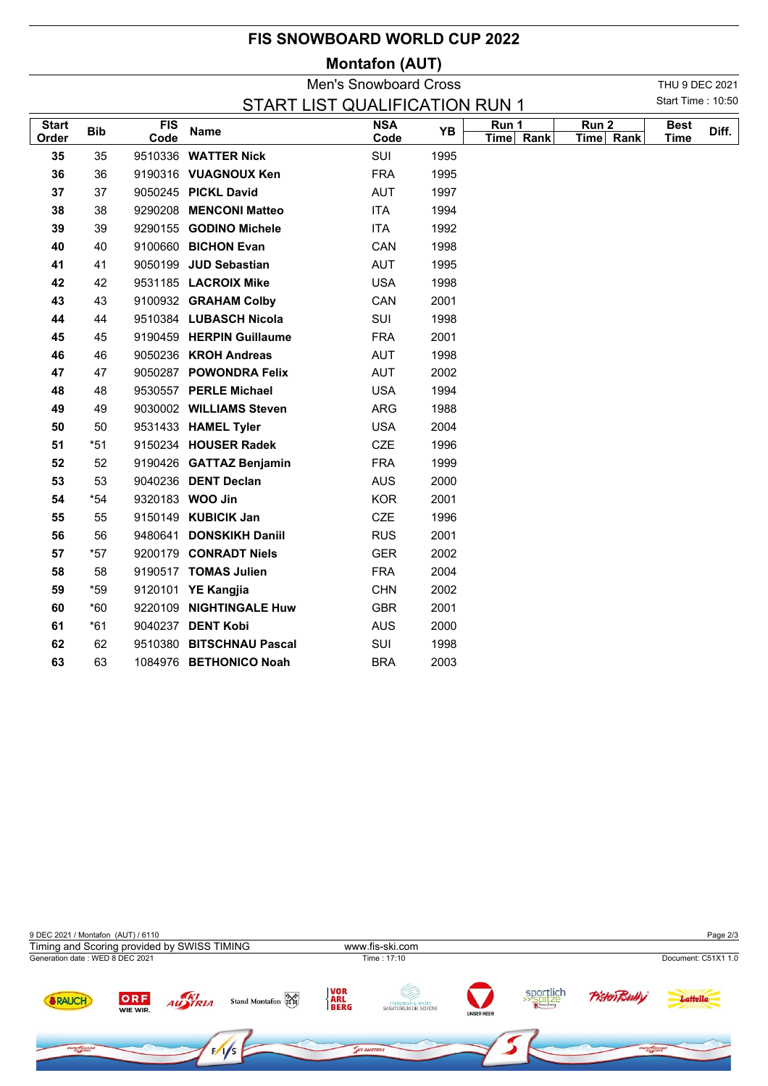## **FIS SNOWBOARD WORLD CUP 2022**

## **Montafon (AUT)**

|                                                            |            |                    |                          | <b>Men's Snowboard Cross</b> |      |                    |                               | THU 9 DEC 2021             |       |
|------------------------------------------------------------|------------|--------------------|--------------------------|------------------------------|------|--------------------|-------------------------------|----------------------------|-------|
| Start Time: 10:50<br><b>START LIST QUALIFICATION RUN 1</b> |            |                    |                          |                              |      |                    |                               |                            |       |
| <b>Start</b><br>Order                                      | <b>Bib</b> | <b>FIS</b><br>Code | <b>Name</b>              | <b>NSA</b><br>Code           | YB   | Run 1<br>Time Rank | Run <sub>2</sub><br>Time Rank | <b>Best</b><br><b>Time</b> | Diff. |
| 35                                                         | 35         |                    | 9510336 WATTER Nick      | SUI                          | 1995 |                    |                               |                            |       |
| 36                                                         | 36         |                    | 9190316 VUAGNOUX Ken     | <b>FRA</b>                   | 1995 |                    |                               |                            |       |
| 37                                                         | 37         |                    | 9050245 PICKL David      | AUT                          | 1997 |                    |                               |                            |       |
| 38                                                         | 38         |                    | 9290208 MENCONI Matteo   | <b>ITA</b>                   | 1994 |                    |                               |                            |       |
| 39                                                         | 39         |                    | 9290155 GODINO Michele   | <b>ITA</b>                   | 1992 |                    |                               |                            |       |
| 40                                                         | 40         |                    | 9100660 BICHON Evan      | CAN                          | 1998 |                    |                               |                            |       |
| 41                                                         | 41         |                    | 9050199 JUD Sebastian    | AUT                          | 1995 |                    |                               |                            |       |
| 42                                                         | 42         |                    | 9531185 LACROIX Mike     | <b>USA</b>                   | 1998 |                    |                               |                            |       |
| 43                                                         | 43         |                    | 9100932 GRAHAM Colby     | CAN                          | 2001 |                    |                               |                            |       |
| 44                                                         | 44         |                    | 9510384 LUBASCH Nicola   | SUI                          | 1998 |                    |                               |                            |       |
| 45                                                         | 45         |                    | 9190459 HERPIN Guillaume | <b>FRA</b>                   | 2001 |                    |                               |                            |       |
| 46                                                         | 46         |                    | 9050236 KROH Andreas     | AUT                          | 1998 |                    |                               |                            |       |
| 47                                                         | 47         |                    | 9050287 POWONDRA Felix   | <b>AUT</b>                   | 2002 |                    |                               |                            |       |
| 48                                                         | 48         |                    | 9530557 PERLE Michael    | <b>USA</b>                   | 1994 |                    |                               |                            |       |
| 49                                                         | 49         |                    | 9030002 WILLIAMS Steven  | ARG                          | 1988 |                    |                               |                            |       |
| 50                                                         | 50         |                    | 9531433 HAMEL Tyler      | <b>USA</b>                   | 2004 |                    |                               |                            |       |
| 51                                                         | $*51$      |                    | 9150234 HOUSER Radek     | CZE                          | 1996 |                    |                               |                            |       |
| 52                                                         | 52         |                    | 9190426 GATTAZ Benjamin  | <b>FRA</b>                   | 1999 |                    |                               |                            |       |
| 53                                                         | 53         |                    | 9040236 DENT Declan      | <b>AUS</b>                   | 2000 |                    |                               |                            |       |
| 54                                                         | $*54$      |                    | 9320183 WOO Jin          | <b>KOR</b>                   | 2001 |                    |                               |                            |       |
| 55                                                         | 55         |                    | 9150149 KUBICIK Jan      | <b>CZE</b>                   | 1996 |                    |                               |                            |       |
| 56                                                         | 56         |                    | 9480641 DONSKIKH Daniil  | <b>RUS</b>                   | 2001 |                    |                               |                            |       |
| 57                                                         | $*57$      |                    | 9200179 CONRADT Niels    | <b>GER</b>                   | 2002 |                    |                               |                            |       |
| 58                                                         | 58         |                    | 9190517 TOMAS Julien     | <b>FRA</b>                   | 2004 |                    |                               |                            |       |
| 59                                                         | $*59$      |                    | 9120101 YE Kangjia       | <b>CHN</b>                   | 2002 |                    |                               |                            |       |
| 60                                                         | $*60$      |                    | 9220109 NIGHTINGALE Huw  | <b>GBR</b>                   | 2001 |                    |                               |                            |       |
| 61                                                         | $*61$      |                    | 9040237 DENT Kobi        | <b>AUS</b>                   | 2000 |                    |                               |                            |       |
| 62                                                         | 62         |                    | 9510380 BITSCHNAU Pascal | SUI                          | 1998 |                    |                               |                            |       |
| 63                                                         | 63         |                    | 1084976 BETHONICO Noah   | <b>BRA</b>                   | 2003 |                    |                               |                            |       |